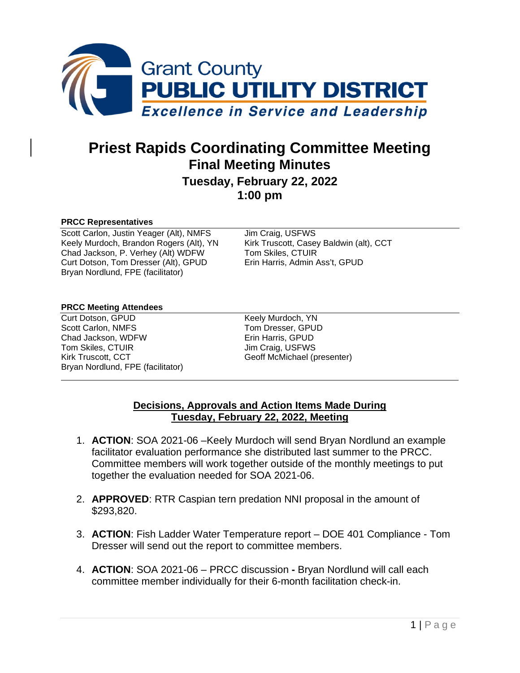

# **Priest Rapids Coordinating Committee Meeting Final Meeting Minutes Tuesday, February 22, 2022**

**1:00 pm**

#### **PRCC Representatives**

Scott Carlon, Justin Yeager (Alt), NMFS Jim Craig, USFWS<br>
Keely Murdoch, Brandon Rogers (Alt), YN Kirk Truscott, Casey Baldwin (alt), CCT Keely Murdoch, Brandon Rogers (Alt), YN Kirk Truscott, Casey<br>Chad Jackson, P. Verhey (Alt) WDFW Tom Skiles, CTUIR Chad Jackson, P. Verhey (Alt) WDFW Curt Dotson, Tom Dresser (Alt), GPUD Erin Harris, Admin Ass't, GPUD Bryan Nordlund, FPE (facilitator)

#### **PRCC Meeting Attendees**

Curt Dotson, GPUD<br>
Scott Carlon, NMFS<br>
Scott Carlon, NMFS<br>
Tom Dresser, GPUD Chad Jackson, WDFW Tom Skiles, CTUIR<br>
Kirk Truscott. CCT<br>
Geoff McMichael (p Bryan Nordlund, FPE (facilitator)

Tom Dresser, GPUD<br>Erin Harris, GPUD Geoff McMichael (presenter)

### **Decisions, Approvals and Action Items Made During Tuesday, February 22, 2022, Meeting**

- 1. **ACTION**: SOA 2021-06 –Keely Murdoch will send Bryan Nordlund an example facilitator evaluation performance she distributed last summer to the PRCC. Committee members will work together outside of the monthly meetings to put together the evaluation needed for SOA 2021-06.
- 2. **APPROVED**: RTR Caspian tern predation NNI proposal in the amount of \$293,820.
- 3. **ACTION**: Fish Ladder Water Temperature report DOE 401 Compliance Tom Dresser will send out the report to committee members.
- 4. **ACTION**: SOA 2021-06 PRCC discussion **-** Bryan Nordlund will call each committee member individually for their 6-month facilitation check-in.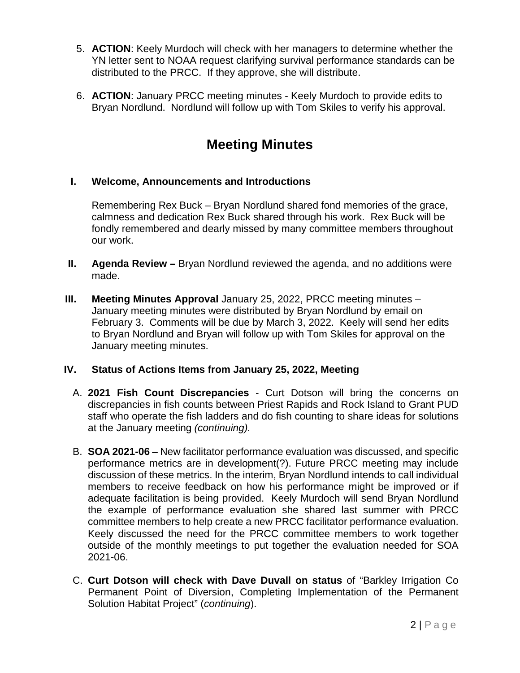- 5. **ACTION**: Keely Murdoch will check with her managers to determine whether the YN letter sent to NOAA request clarifying survival performance standards can be distributed to the PRCC. If they approve, she will distribute.
- 6. **ACTION**: January PRCC meeting minutes Keely Murdoch to provide edits to Bryan Nordlund. Nordlund will follow up with Tom Skiles to verify his approval.

# **Meeting Minutes**

## **I. Welcome, Announcements and Introductions**

Remembering Rex Buck – Bryan Nordlund shared fond memories of the grace, calmness and dedication Rex Buck shared through his work. Rex Buck will be fondly remembered and dearly missed by many committee members throughout our work.

- **II. Agenda Review –** Bryan Nordlund reviewed the agenda, and no additions were made.
- **III.** Meeting Minutes Approval January 25, 2022, PRCC meeting minutes January meeting minutes were distributed by Bryan Nordlund by email on February 3. Comments will be due by March 3, 2022. Keely will send her edits to Bryan Nordlund and Bryan will follow up with Tom Skiles for approval on the January meeting minutes.

## **IV. Status of Actions Items from January 25, 2022, Meeting**

- A. **2021 Fish Count Discrepancies** Curt Dotson will bring the concerns on discrepancies in fish counts between Priest Rapids and Rock Island to Grant PUD staff who operate the fish ladders and do fish counting to share ideas for solutions at the January meeting *(continuing).*
- B. **SOA 2021-06** New facilitator performance evaluation was discussed, and specific performance metrics are in development(?). Future PRCC meeting may include discussion of these metrics. In the interim, Bryan Nordlund intends to call individual members to receive feedback on how his performance might be improved or if adequate facilitation is being provided. Keely Murdoch will send Bryan Nordlund the example of performance evaluation she shared last summer with PRCC committee members to help create a new PRCC facilitator performance evaluation. Keely discussed the need for the PRCC committee members to work together outside of the monthly meetings to put together the evaluation needed for SOA 2021-06.
- C. **Curt Dotson will check with Dave Duvall on status** of "Barkley Irrigation Co Permanent Point of Diversion, Completing Implementation of the Permanent Solution Habitat Project" (*continuing*).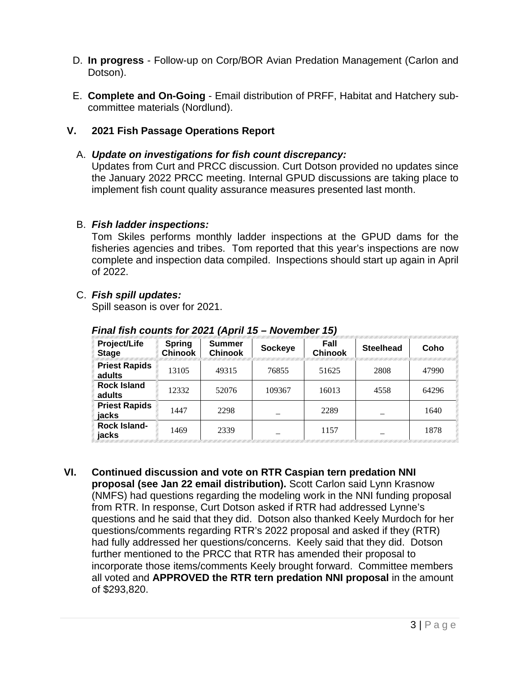- D. **In progress** Follow-up on Corp/BOR Avian Predation Management (Carlon and Dotson).
- E. **Complete and On-Going** Email distribution of PRFF, Habitat and Hatchery subcommittee materials (Nordlund).

## **V. 2021 Fish Passage Operations Report**

#### A. *Update on investigations for fish count discrepancy:*

Updates from Curt and PRCC discussion. Curt Dotson provided no updates since the January 2022 PRCC meeting. Internal GPUD discussions are taking place to implement fish count quality assurance measures presented last month.

#### B. *Fish ladder inspections:*

Tom Skiles performs monthly ladder inspections at the GPUD dams for the fisheries agencies and tribes. Tom reported that this year's inspections are now complete and inspection data compiled. Inspections should start up again in April of 2022.

#### C. *Fish spill updates:*

Spill season is over for 2021.

| Project/Life<br><b>Stage</b>   | <b>Spring</b><br><b>Chinook</b> | Summer<br><b>Chinook</b> | Sockeye | Fall<br><b>Chinook</b> | <b>Steelhead</b> | Coho  |
|--------------------------------|---------------------------------|--------------------------|---------|------------------------|------------------|-------|
| <b>Priest Rapids</b><br>adults | 13105                           | 49315                    | 76855   | 51625                  | 2808             | 47990 |
| <b>Rock Island</b><br>adults   | 12332                           | 52076                    | 109367  | 16013                  | 4558             | 64296 |
| <b>Priest Rapids</b><br>jacks  | 1447                            | 2298                     |         | 2289                   |                  | 1640  |
| <b>Rock Island-</b><br>jacks   | 1469                            | 2339                     |         | 1157                   |                  | 1878  |

*Final fish counts for 2021 (April 15 – November 15)*

**VI. Continued discussion and vote on RTR Caspian tern predation NNI proposal (see Jan 22 email distribution).** Scott Carlon said Lynn Krasnow (NMFS) had questions regarding the modeling work in the NNI funding proposal from RTR. In response, Curt Dotson asked if RTR had addressed Lynne's questions and he said that they did. Dotson also thanked Keely Murdoch for her questions/comments regarding RTR's 2022 proposal and asked if they (RTR) had fully addressed her questions/concerns. Keely said that they did. Dotson further mentioned to the PRCC that RTR has amended their proposal to incorporate those items/comments Keely brought forward. Committee members all voted and **APPROVED the RTR tern predation NNI proposal** in the amount of \$293,820.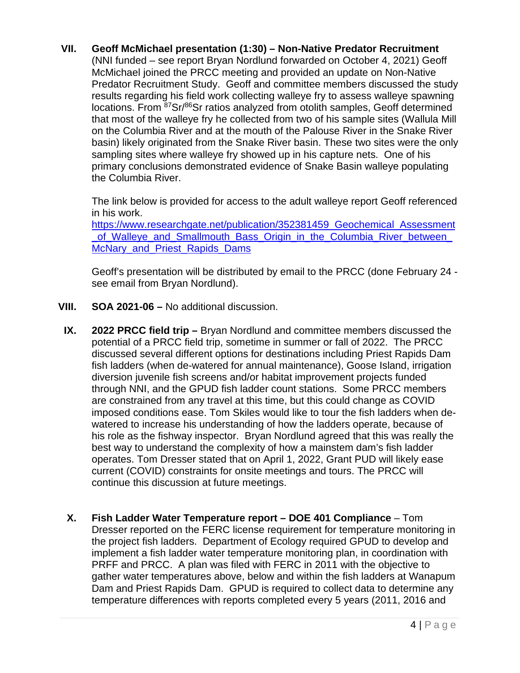## **VII. Geoff McMichael presentation (1:30) – Non-Native Predator Recruitment**

(NNI funded – see report Bryan Nordlund forwarded on October 4, 2021) Geoff McMichael joined the PRCC meeting and provided an update on Non-Native Predator Recruitment Study. Geoff and committee members discussed the study results regarding his field work collecting walleye fry to assess walleye spawning locations. From <sup>87</sup>Sr/<sup>86</sup>Sr ratios analyzed from otolith samples, Geoff determined that most of the walleye fry he collected from two of his sample sites (Wallula Mill on the Columbia River and at the mouth of the Palouse River in the Snake River basin) likely originated from the Snake River basin. These two sites were the only sampling sites where walleye fry showed up in his capture nets. One of his primary conclusions demonstrated evidence of Snake Basin walleye populating the Columbia River.

The link below is provided for access to the adult walleye report Geoff referenced in his work.

[https://www.researchgate.net/publication/352381459\\_Geochemical\\_Assessment](https://www.researchgate.net/publication/352381459_Geochemical_Assessment_of_Walleye_and_Smallmouth_Bass_Origin_in_the_Columbia_River_between_McNary_and_Priest_Rapids_Dams) [\\_of\\_Walleye\\_and\\_Smallmouth\\_Bass\\_Origin\\_in\\_the\\_Columbia\\_River\\_between\\_](https://www.researchgate.net/publication/352381459_Geochemical_Assessment_of_Walleye_and_Smallmouth_Bass_Origin_in_the_Columbia_River_between_McNary_and_Priest_Rapids_Dams) McNary and Priest Rapids Dams

Geoff's presentation will be distributed by email to the PRCC (done February 24 see email from Bryan Nordlund).

- **VIII. SOA 2021-06 –** No additional discussion.
- **IX. 2022 PRCC field trip –** Bryan Nordlund and committee members discussed the potential of a PRCC field trip, sometime in summer or fall of 2022. The PRCC discussed several different options for destinations including Priest Rapids Dam fish ladders (when de-watered for annual maintenance), Goose Island, irrigation diversion juvenile fish screens and/or habitat improvement projects funded through NNI, and the GPUD fish ladder count stations. Some PRCC members are constrained from any travel at this time, but this could change as COVID imposed conditions ease. Tom Skiles would like to tour the fish ladders when dewatered to increase his understanding of how the ladders operate, because of his role as the fishway inspector. Bryan Nordlund agreed that this was really the best way to understand the complexity of how a mainstem dam's fish ladder operates. Tom Dresser stated that on April 1, 2022, Grant PUD will likely ease current (COVID) constraints for onsite meetings and tours. The PRCC will continue this discussion at future meetings.
- **X. Fish Ladder Water Temperature report – DOE 401 Compliance**  Tom Dresser reported on the FERC license requirement for temperature monitoring in the project fish ladders. Department of Ecology required GPUD to develop and implement a fish ladder water temperature monitoring plan, in coordination with PRFF and PRCC. A plan was filed with FERC in 2011 with the objective to gather water temperatures above, below and within the fish ladders at Wanapum Dam and Priest Rapids Dam. GPUD is required to collect data to determine any temperature differences with reports completed every 5 years (2011, 2016 and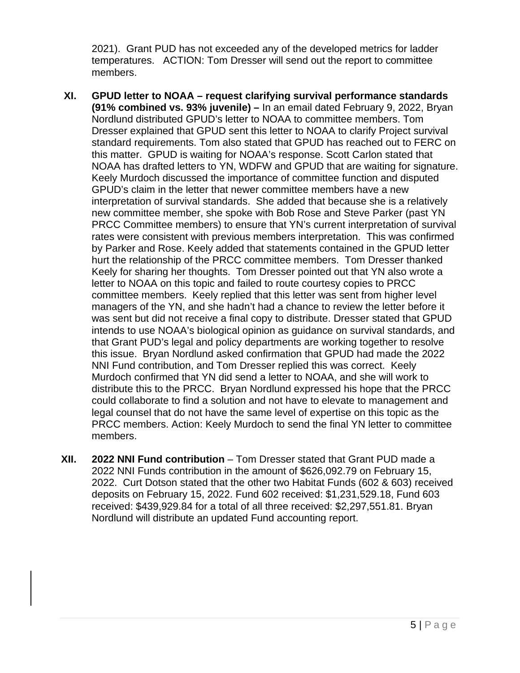2021). Grant PUD has not exceeded any of the developed metrics for ladder temperatures. ACTION: Tom Dresser will send out the report to committee members.

- **XI. GPUD letter to NOAA – request clarifying survival performance standards (91% combined vs. 93% juvenile) –** In an email dated February 9, 2022, Bryan Nordlund distributed GPUD's letter to NOAA to committee members. Tom Dresser explained that GPUD sent this letter to NOAA to clarify Project survival standard requirements. Tom also stated that GPUD has reached out to FERC on this matter. GPUD is waiting for NOAA's response. Scott Carlon stated that NOAA has drafted letters to YN, WDFW and GPUD that are waiting for signature. Keely Murdoch discussed the importance of committee function and disputed GPUD's claim in the letter that newer committee members have a new interpretation of survival standards. She added that because she is a relatively new committee member, she spoke with Bob Rose and Steve Parker (past YN PRCC Committee members) to ensure that YN's current interpretation of survival rates were consistent with previous members interpretation. This was confirmed by Parker and Rose. Keely added that statements contained in the GPUD letter hurt the relationship of the PRCC committee members. Tom Dresser thanked Keely for sharing her thoughts. Tom Dresser pointed out that YN also wrote a letter to NOAA on this topic and failed to route courtesy copies to PRCC committee members. Keely replied that this letter was sent from higher level managers of the YN, and she hadn't had a chance to review the letter before it was sent but did not receive a final copy to distribute. Dresser stated that GPUD intends to use NOAA's biological opinion as guidance on survival standards, and that Grant PUD's legal and policy departments are working together to resolve this issue. Bryan Nordlund asked confirmation that GPUD had made the 2022 NNI Fund contribution, and Tom Dresser replied this was correct. Keely Murdoch confirmed that YN did send a letter to NOAA, and she will work to distribute this to the PRCC. Bryan Nordlund expressed his hope that the PRCC could collaborate to find a solution and not have to elevate to management and legal counsel that do not have the same level of expertise on this topic as the PRCC members. Action: Keely Murdoch to send the final YN letter to committee members.
- **XII. 2022 NNI Fund contribution**  Tom Dresser stated that Grant PUD made a 2022 NNI Funds contribution in the amount of \$626,092.79 on February 15, 2022. Curt Dotson stated that the other two Habitat Funds (602 & 603) received deposits on February 15, 2022. Fund 602 received: \$1,231,529.18, Fund 603 received: \$439,929.84 for a total of all three received: \$2,297,551.81. Bryan Nordlund will distribute an updated Fund accounting report.